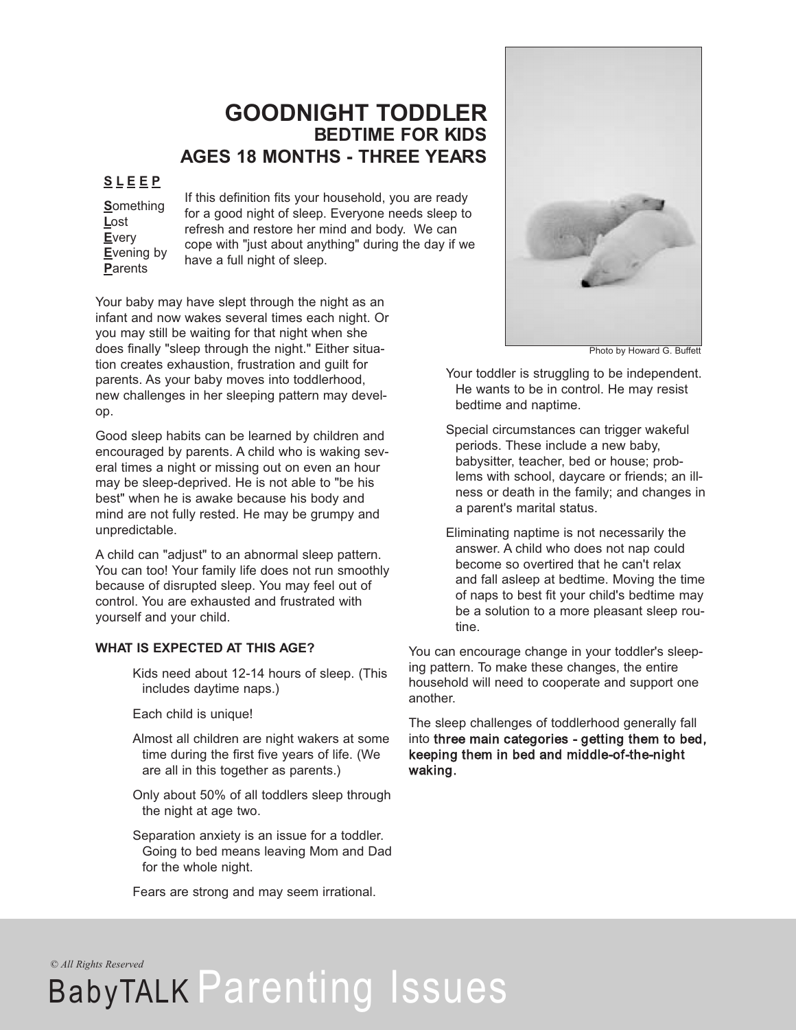## **GOODNIGHT TODDLER BEDTIME FOR KIDS AGES 18 MONTHS - THREE YEARS**

### **S L E E P**

**S**omething **L**ost **E**very **E**vening by **P**arents

If this definition fits your household, you are ready for a good night of sleep. Everyone needs sleep to refresh and restore her mind and body. We can cope with "just about anything" during the day if we have a full night of sleep.

Your baby may have slept through the night as an infant and now wakes several times each night. Or you may still be waiting for that night when she does finally "sleep through the night." Either situation creates exhaustion, frustration and guilt for parents. As your baby moves into toddlerhood, new challenges in her sleeping pattern may develop.

Good sleep habits can be learned by children and encouraged by parents. A child who is waking several times a night or missing out on even an hour may be sleep-deprived. He is not able to "be his best" when he is awake because his body and mind are not fully rested. He may be grumpy and unpredictable.

A child can "adjust" to an abnormal sleep pattern. You can too! Your family life does not run smoothly because of disrupted sleep. You may feel out of control. You are exhausted and frustrated with yourself and your child.

#### **WHAT IS EXPECTED AT THIS AGE?**

Kids need about 12-14 hours of sleep. (This includes daytime naps.)

Each child is unique!

- Almost all children are night wakers at some time during the first five years of life. (We are all in this together as parents.)
- Only about 50% of all toddlers sleep through the night at age two.
- Separation anxiety is an issue for a toddler. Going to bed means leaving Mom and Dad for the whole night.

Fears are strong and may seem irrational.



Photo by Howard G. Buffett

Your toddler is struggling to be independent. He wants to be in control. He may resist bedtime and naptime.

- Special circumstances can trigger wakeful periods. These include a new baby, babysitter, teacher, bed or house; problems with school, daycare or friends; an illness or death in the family; and changes in a parent's marital status.
- Eliminating naptime is not necessarily the answer. A child who does not nap could become so overtired that he can't relax and fall asleep at bedtime. Moving the time of naps to best fit your child's bedtime may be a solution to a more pleasant sleep routine.

You can encourage change in your toddler's sleeping pattern. To make these changes, the entire household will need to cooperate and support one another.

The sleep challenges of toddlerhood generally fall into three main categories - getting them to bed, keeping them in bed and middle-of-the-night waking.

*© All Rights Reserved*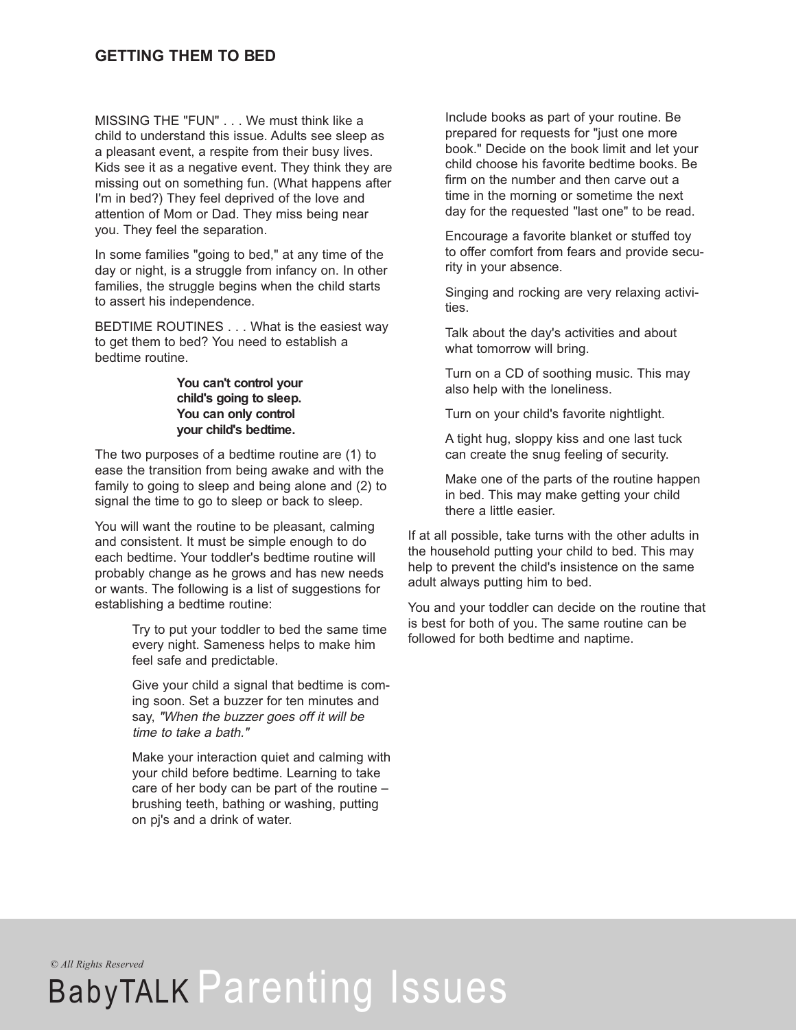MISSING THE "FUN" . . . We must think like a child to understand this issue. Adults see sleep as a pleasant event, a respite from their busy lives. Kids see it as a negative event. They think they are missing out on something fun. (What happens after I'm in bed?) They feel deprived of the love and attention of Mom or Dad. They miss being near you. They feel the separation.

In some families "going to bed," at any time of the day or night, is a struggle from infancy on. In other families, the struggle begins when the child starts to assert his independence.

BEDTIME ROUTINES . . . What is the easiest way to get them to bed? You need to establish a bedtime routine.

#### **You can't control your child's going to sleep. You can only control your child's bedtime.**

The two purposes of a bedtime routine are (1) to ease the transition from being awake and with the family to going to sleep and being alone and (2) to signal the time to go to sleep or back to sleep.

You will want the routine to be pleasant, calming and consistent. It must be simple enough to do each bedtime. Your toddler's bedtime routine will probably change as he grows and has new needs or wants. The following is a list of suggestions for establishing a bedtime routine:

> Try to put your toddler to bed the same time every night. Sameness helps to make him feel safe and predictable.

Give your child a signal that bedtime is coming soon. Set a buzzer for ten minutes and say, "When the buzzer goes off it will be time to take a bath."

Make your interaction quiet and calming with your child before bedtime. Learning to take care of her body can be part of the routine – brushing teeth, bathing or washing, putting on pj's and a drink of water.

Include books as part of your routine. Be prepared for requests for "just one more book." Decide on the book limit and let your child choose his favorite bedtime books. Be firm on the number and then carve out a time in the morning or sometime the next day for the requested "last one" to be read.

Encourage a favorite blanket or stuffed toy to offer comfort from fears and provide security in your absence.

Singing and rocking are very relaxing activities.

Talk about the day's activities and about what tomorrow will bring.

Turn on a CD of soothing music. This may also help with the loneliness.

Turn on your child's favorite nightlight.

A tight hug, sloppy kiss and one last tuck can create the snug feeling of security.

Make one of the parts of the routine happen in bed. This may make getting your child there a little easier.

If at all possible, take turns with the other adults in the household putting your child to bed. This may help to prevent the child's insistence on the same adult always putting him to bed.

You and your toddler can decide on the routine that is best for both of you. The same routine can be followed for both bedtime and naptime.

*© All Rights Reserved*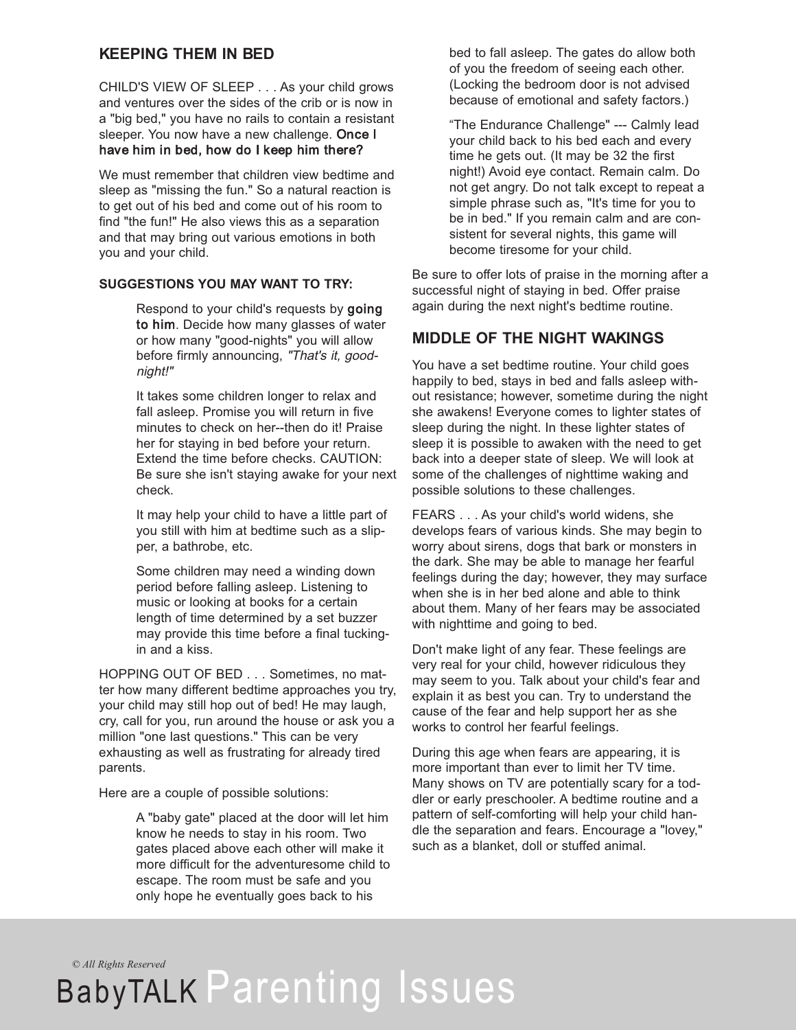### **KEEPING THEM IN BED**

CHILD'S VIEW OF SLEEP . . . As your child grows and ventures over the sides of the crib or is now in a "big bed," you have no rails to contain a resistant sleeper. You now have a new challenge. Once I have him in bed, how do I keep him there?

We must remember that children view bedtime and sleep as "missing the fun." So a natural reaction is to get out of his bed and come out of his room to find "the fun!" He also views this as a separation and that may bring out various emotions in both you and your child.

#### **SUGGESTIONS YOU MAY WANT TO TRY:**

Respond to your child's requests by going to him. Decide how many glasses of water or how many "good-nights" you will allow before firmly announcing, "That's it, goodnight!"

It takes some children longer to relax and fall asleep. Promise you will return in five minutes to check on her--then do it! Praise her for staying in bed before your return. Extend the time before checks. CAUTION: Be sure she isn't staying awake for your next check.

It may help your child to have a little part of you still with him at bedtime such as a slipper, a bathrobe, etc.

Some children may need a winding down period before falling asleep. Listening to music or looking at books for a certain length of time determined by a set buzzer may provide this time before a final tuckingin and a kiss.

HOPPING OUT OF BED . . . Sometimes, no matter how many different bedtime approaches you try, your child may still hop out of bed! He may laugh, cry, call for you, run around the house or ask you a million "one last questions." This can be very exhausting as well as frustrating for already tired parents.

Here are a couple of possible solutions:

A "baby gate" placed at the door will let him know he needs to stay in his room. Two gates placed above each other will make it more difficult for the adventuresome child to escape. The room must be safe and you only hope he eventually goes back to his

bed to fall asleep. The gates do allow both of you the freedom of seeing each other. (Locking the bedroom door is not advised because of emotional and safety factors.)

"The Endurance Challenge" --- Calmly lead your child back to his bed each and every time he gets out. (It may be 32 the first night!) Avoid eye contact. Remain calm. Do not get angry. Do not talk except to repeat a simple phrase such as, "It's time for you to be in bed." If you remain calm and are consistent for several nights, this game will become tiresome for your child.

Be sure to offer lots of praise in the morning after a successful night of staying in bed. Offer praise again during the next night's bedtime routine.

### **MIDDLE OF THE NIGHT WAKINGS**

You have a set bedtime routine. Your child goes happily to bed, stays in bed and falls asleep without resistance; however, sometime during the night she awakens! Everyone comes to lighter states of sleep during the night. In these lighter states of sleep it is possible to awaken with the need to get back into a deeper state of sleep. We will look at some of the challenges of nighttime waking and possible solutions to these challenges.

FEARS . . . As your child's world widens, she develops fears of various kinds. She may begin to worry about sirens, dogs that bark or monsters in the dark. She may be able to manage her fearful feelings during the day; however, they may surface when she is in her bed alone and able to think about them. Many of her fears may be associated with nighttime and going to bed.

Don't make light of any fear. These feelings are very real for your child, however ridiculous they may seem to you. Talk about your child's fear and explain it as best you can. Try to understand the cause of the fear and help support her as she works to control her fearful feelings.

During this age when fears are appearing, it is more important than ever to limit her TV time. Many shows on TV are potentially scary for a toddler or early preschooler. A bedtime routine and a pattern of self-comforting will help your child handle the separation and fears. Encourage a "lovey," such as a blanket, doll or stuffed animal.

*© All Rights Reserved*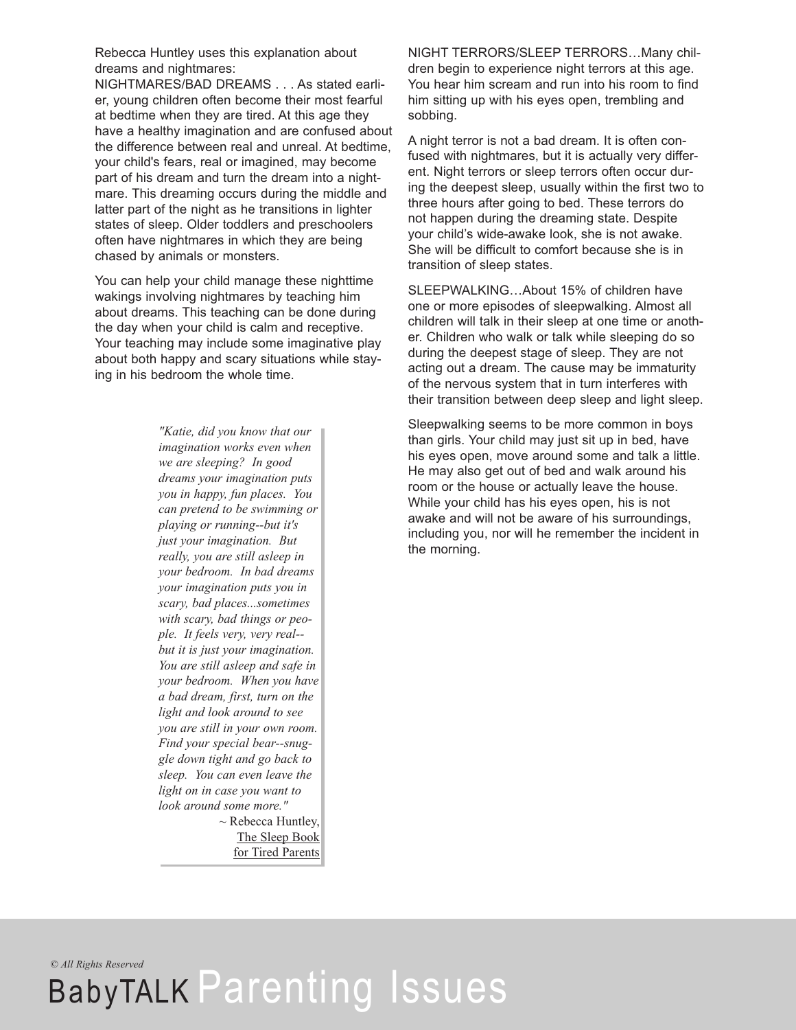Rebecca Huntley uses this explanation about dreams and nightmares:

NIGHTMARES/BAD DREAMS . . . As stated earlier, young children often become their most fearful at bedtime when they are tired. At this age they have a healthy imagination and are confused about the difference between real and unreal. At bedtime, your child's fears, real or imagined, may become part of his dream and turn the dream into a nightmare. This dreaming occurs during the middle and latter part of the night as he transitions in lighter states of sleep. Older toddlers and preschoolers often have nightmares in which they are being chased by animals or monsters.

You can help your child manage these nighttime wakings involving nightmares by teaching him about dreams. This teaching can be done during the day when your child is calm and receptive. Your teaching may include some imaginative play about both happy and scary situations while staying in his bedroom the whole time.

> *"Katie, did you know that our imagination works even when we are sleeping? In good dreams your imagination puts you in happy, fun places. You can pretend to be swimming or playing or running--but it's just your imagination. But really, you are still asleep in your bedroom. In bad dreams your imagination puts you in scary, bad places...sometimes with scary, bad things or people. It feels very, very real- but it is just your imagination. You are still asleep and safe in your bedroom. When you have a bad dream, first, turn on the light and look around to see you are still in your own room. Find your special bear--snuggle down tight and go back to sleep. You can even leave the light on in case you want to look around some more."*  $\sim$  Rebecca Huntley, The Sleep Book for Tired Parents

NIGHT TERRORS/SLEEP TERRORS…Many children begin to experience night terrors at this age. You hear him scream and run into his room to find him sitting up with his eyes open, trembling and sobbing.

A night terror is not a bad dream. It is often confused with nightmares, but it is actually very different. Night terrors or sleep terrors often occur during the deepest sleep, usually within the first two to three hours after going to bed. These terrors do not happen during the dreaming state. Despite your child's wide-awake look, she is not awake. She will be difficult to comfort because she is in transition of sleep states.

SLEEPWALKING…About 15% of children have one or more episodes of sleepwalking. Almost all children will talk in their sleep at one time or another. Children who walk or talk while sleeping do so during the deepest stage of sleep. They are not acting out a dream. The cause may be immaturity of the nervous system that in turn interferes with their transition between deep sleep and light sleep.

Sleepwalking seems to be more common in boys than girls. Your child may just sit up in bed, have his eyes open, move around some and talk a little. He may also get out of bed and walk around his room or the house or actually leave the house. While your child has his eyes open, his is not awake and will not be aware of his surroundings, including you, nor will he remember the incident in the morning.

*© All Rights Reserved*